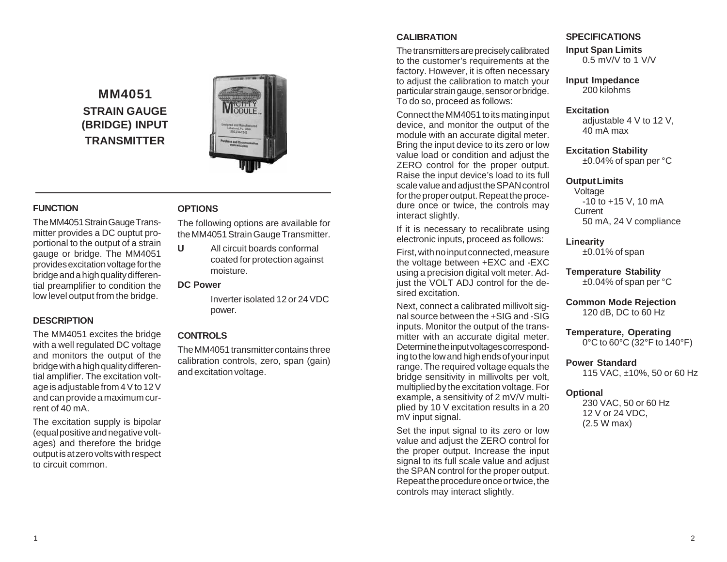# **MM4051 STRAIN GAUGE (BRIDGE) INPUT TRANSMITTER**



## **FUNCTION**

The MM4051 Strain Gauge Transmitter provides a DC ouptut proportional to the output of a strain gauge or bridge. The MM4051 provides excitation voltage for the bridge and a high quality differential preamplifier to condition the low level output from the bridge.

## **DESCRIPTION**

The MM4051 excites the bridge with a well regulated DC voltage and monitors the output of the bridge with a high quality differential amplifier. The excitation voltage is adjustable from 4 V to 12 V and can provide a maximum current of 40 mA.

The excitation supply is bipolar (equal positive and negative voltages) and therefore the bridge output is at zero volts with respect to circuit common.

## **OPTIONS**

The following options are available for the MM4051 Strain Gauge Transmitter.

**U** All circuit boards conformal coated for protection against moisture.

#### **DC Power**

Inverter isolated 12 or 24 VDC power.

# **CONTROLS**

The MM4051 transmitter contains three calibration controls, zero, span (gain) and excitation voltage.

## **CALIBRATION**

The transmitters are precisely calibrated to the customer's requirements at the factory. However, it is often necessary to adjust the calibration to match your particular strain gauge, sensor or bridge. To do so, proceed as follows:

Connect the MM4051 to its mating input device, and monitor the output of the module with an accurate digital meter. Bring the input device to its zero or low value load or condition and adjust the ZERO control for the proper output. Raise the input device's load to its full scale value and adjust the SPAN control for the proper output. Repeat the procedure once or twice, the controls may interact slightly.

If it is necessary to recalibrate using electronic inputs, proceed as follows:

First, with no input connected, measure the voltage between +EXC and -EXC using a precision digital volt meter. Adjust the VOLT ADJ control for the desired excitation.

Next, connect a calibrated millivolt signal source between the +SIG and -SIG inputs. Monitor the output of the transmitter with an accurate digital meter. Determine the input voltages corresponding to the low and high ends of your input range. The required voltage equals the bridge sensitivity in millivolts per volt, multiplied by the excitation voltage. For example, a sensitivity of 2 mV/V multiplied by 10 V excitation results in a 20 mV input signal.

Set the input signal to its zero or low value and adjust the ZERO control for the proper output. Increase the input signal to its full scale value and adjust the SPAN control for the proper output. Repeat the procedure once or twice, the controls may interact slightly.

### **SPECIFICATIONS**

**Input Span Limits**

0.5 mV/V to 1 V/V

# **Input Impedance**

200 kilohms

#### **Excitation**

adjustable  $4 \vee 12 \vee$ .  $40 \text{ mA}$  max

**Excitation Stability** ±0.04% of span per °C

#### **Output Limits**

Voltage -10 to +15 V, 10 mA **Current** 50 mA, 24 V compliance

#### **Linearity**

 $\pm 0.01\%$  of span

**Temperature Stability** ±0.04% of span per °C

### **Common Mode Rejection** 120 dB, DC to 60 Hz

**Temperature, Operating** 0°C to 60°C (32°F to 140°F)

## **Power Standard**

115 VAC, ±10%, 50 or 60 Hz

#### **Optional**

230 VAC, 50 or 60 Hz 12 V or 24 VDC, (2.5 W max)